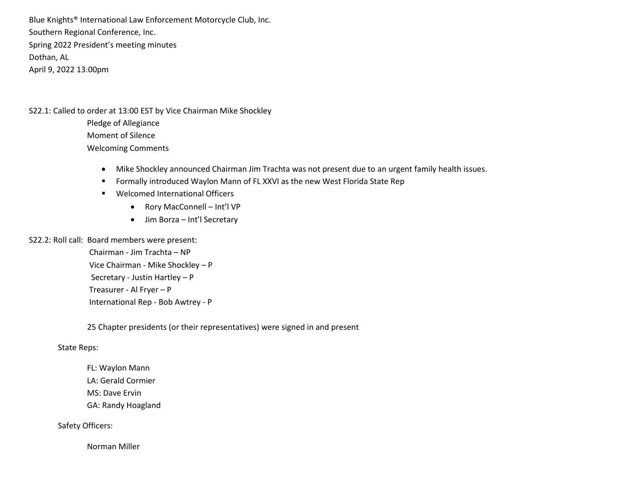Blue Knights® International Law Enforcement Motorcycle Club, Inc. Southern Regional Conference, Inc. Spring 2022 President's meeting minutes Dothan, AL April 9, 2022 13:00pm

S22.1: Called to order at 13:00 EST by Vice Chairman Mike Shockley

Pledge of Allegiance Moment of Silence Welcoming Comments

- Mike Shockley announced Chairman Jim Trachta was not present due to an urgent family health issues.
- **F** Formally introduced Waylon Mann of FL XXVI as the new West Florida State Rep
- Welcomed International Officers
	- Rory MacConnell Int'l VP
	- Jim Borza Int'l Secretary

S22.2: Roll call: Board members were present:

 Chairman - Jim Trachta – NP Vice Chairman - Mike Shockley – P Secretary - Justin Hartley – P Treasurer - Al Fryer – P International Rep - Bob Awtrey - P

25 Chapter presidents (or their representatives) were signed in and present

State Reps:

FL: Waylon Mann LA: Gerald Cormier MS: Dave Ervin GA: Randy Hoagland

Safety Officers:

Norman Miller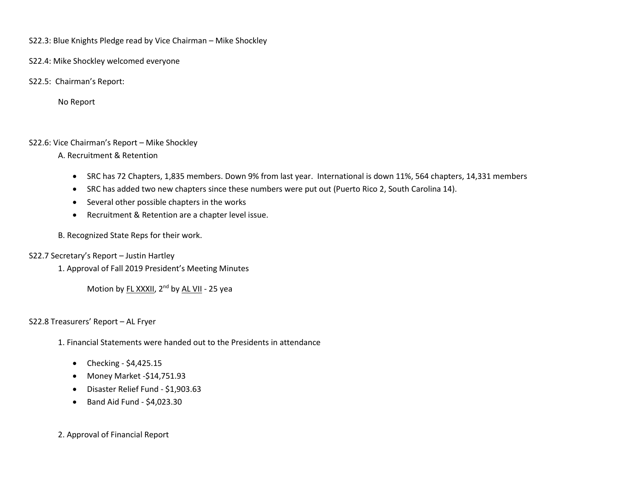S22.3: Blue Knights Pledge read by Vice Chairman – Mike Shockley

S22.4: Mike Shockley welcomed everyone

S22.5: Chairman's Report:

No Report

## S22.6: Vice Chairman's Report – Mike Shockley

A. Recruitment & Retention

- SRC has 72 Chapters, 1,835 members. Down 9% from last year. International is down 11%, 564 chapters, 14,331 members
- SRC has added two new chapters since these numbers were put out (Puerto Rico 2, South Carolina 14).
- Several other possible chapters in the works
- Recruitment & Retention are a chapter level issue.

B. Recognized State Reps for their work.

## S22.7 Secretary's Report – Justin Hartley

1. Approval of Fall 2019 President's Meeting Minutes

Motion by FL XXXII, 2<sup>nd</sup> by AL VII - 25 yea

## S22.8 Treasurers' Report – AL Fryer

- 1. Financial Statements were handed out to the Presidents in attendance
	- Checking  $$4,425.15$
	- Money Market -\$14,751.93
	- Disaster Relief Fund \$1,903.63
	- $\bullet$  Band Aid Fund \$4,023.30

# 2. Approval of Financial Report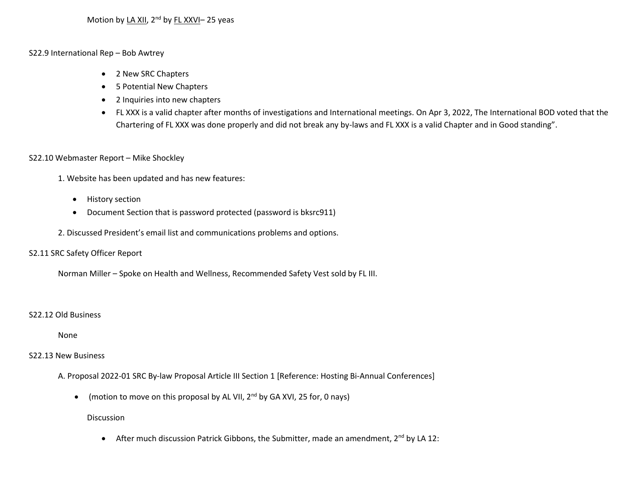#### S22.9 International Rep – Bob Awtrey

- 2 New SRC Chapters
- 5 Potential New Chapters
- 2 Inquiries into new chapters
- FL XXX is a valid chapter after months of investigations and International meetings. On Apr 3, 2022, The International BOD voted that the Chartering of FL XXX was done properly and did not break any by-laws and FL XXX is a valid Chapter and in Good standing".

#### S22.10 Webmaster Report – Mike Shockley

- 1. Website has been updated and has new features:
	- **•** History section
	- Document Section that is password protected (password is bksrc911)
- 2. Discussed President's email list and communications problems and options.

## S2.11 SRC Safety Officer Report

Norman Miller – Spoke on Health and Wellness, Recommended Safety Vest sold by FL III.

#### S22.12 Old Business

None

## S22.13 New Business

A. Proposal 2022-01 SRC By-law Proposal Article III Section 1 [Reference: Hosting Bi-Annual Conferences]

• (motion to move on this proposal by AL VII,  $2^{nd}$  by GA XVI, 25 for, 0 nays)

#### Discussion

• After much discussion Patrick Gibbons, the Submitter, made an amendment, 2<sup>nd</sup> by LA 12: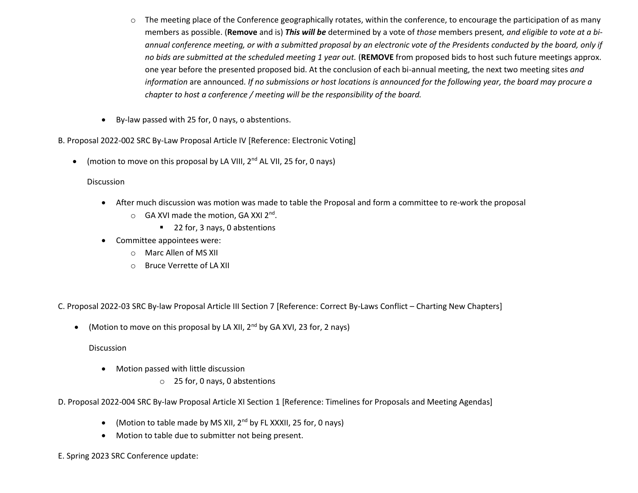- $\circ$  The meeting place of the Conference geographically rotates, within the conference, to encourage the participation of as many members as possible. (**Remove** and is) *This will be* determined by a vote of *those* members present*, and eligible to vote at a biannual conference meeting, or with a submitted proposal by an electronic vote of the Presidents conducted by the board, only if no bids are submitted at the scheduled meeting 1 year out.* (**REMOVE** from proposed bids to host such future meetings approx. one year before the presented proposed bid. At the conclusion of each bi-annual meeting, the next two meeting sites *and information* are announced. *If no submissions or host locations is announced for the following year, the board may procure a chapter to host a conference / meeting will be the responsibility of the board.*
- By-law passed with 25 for, 0 nays, o abstentions.

B. Proposal 2022-002 SRC By-Law Proposal Article IV [Reference: Electronic Voting]

• (motion to move on this proposal by LA VIII,  $2^{nd}$  AL VII, 25 for, 0 nays)

## Discussion

- After much discussion was motion was made to table the Proposal and form a committee to re-work the proposal
	- o GA XVI made the motion, GA XXI 2<sup>nd</sup>.
		- 22 for, 3 nays, 0 abstentions
- Committee appointees were:
	- o Marc Allen of MS XII
	- o Bruce Verrette of LA XII

C. Proposal 2022-03 SRC By-law Proposal Article III Section 7 [Reference: Correct By-Laws Conflict – Charting New Chapters]

• (Motion to move on this proposal by LA XII,  $2^{nd}$  by GA XVI, 23 for, 2 nays)

**Discussion** 

- Motion passed with little discussion
	- o 25 for, 0 nays, 0 abstentions

D. Proposal 2022-004 SRC By-law Proposal Article XI Section 1 [Reference: Timelines for Proposals and Meeting Agendas]

- (Motion to table made by MS XII, 2nd by FL XXXII, 25 for, 0 nays)
- Motion to table due to submitter not being present.
- E. Spring 2023 SRC Conference update: